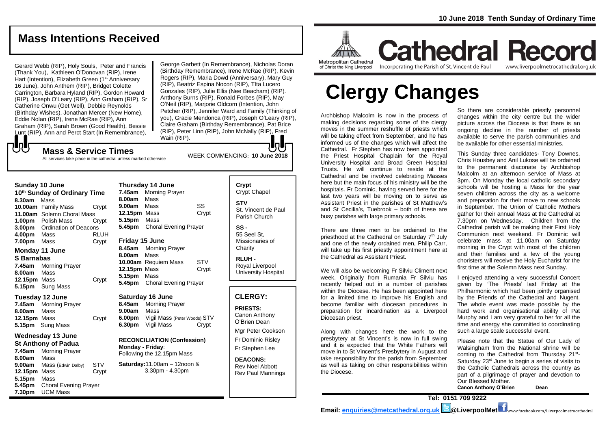## **Mass Intentions Received**

Gerard Webb (RIP), Holy Souls, Peter and Francis (Thank You), Kathleen O'Donovan (RIP), Irene Hart (Intention), Elizabeth Green (1<sup>st</sup> Anniversary 16 June), John Anthem (RIP), Bridget Colette Carrington, Barbara Hyland (RIP), Gordon Howard (RIP), Joseph O'Leary (RIP), Ann Graham (RIP), Sr Catherine Onwu (Get Well), Debbie Reynolds (Birthday Wishes), Jonathan Mercer (New Home), Eddie Nolan (RIP), Irene McRae (RIP), Ann Graham (RIP), Sarah Brown (Good Health), Bessie Lunt (RIP), Ann and Perct Start (In Remembrance),

George Garbett (In Remembrance), Nicholas Doran (Birthday Remembrance), Irene McRae (RIP), Kevin Rogers (RIP), Maria Dowd (Anniversary), Mary Guy (RIP), Beatriz Espina Nocon (RIP), TIta Lucero Gonzales (RIP), Julie Ellis (Nee Beacham) (RIP). Anthony Burns (RIP), Ronald Forbes (RIP), May O'Neil (RIP), Marjorie Oldcorn (Intention, John Petcher (RIP), Jennifer Ward and Family (Thinking of you), Gracie Mendonca (RIP), Joseph O'Leary (RIP), Claire Graham (Birthday Remembrance), Pat Brice (RIP), Peter Linn (RIP), John McNally (RIP), Fred Wain (RIP).

## もし

WEEK COMMENCING: **<sup>10</sup> June <sup>2018</sup> Mass & Service Times** All services take place in the cathedral unless marked otherwise

#### **Sunday 10 June**

**10th Sunday of Ordinary Time 8.30am** Mass **10.00am** Family Mass Crypt **11.00am** Solemn Choral Mass **1.00pm** Polish Mass Crypt **3.00pm** Ordination of Deacons **4.00pm** Mass RLUH **7.00pm** Mass Crypt **Monday 11 June**

## **S Barnabas**

**7.45am** Morning Prayer **8.00am** Mass 12.15pm Mass Crypt **5.15pm** Sung Mass

#### **Tuesday 12 June**

**7.45am** Morning Prayer **8.00am** Mass **12.15pm** Mass Crypt **5.15pm** Sung Mass

#### **Wednesday 13 June St Anthony of Padua**

**7.45am** Morning Prayer **8.00am** Mass **9.00am** Mass (Edwin Dalby) STV<br>**12.15pm** Mass Crypt **12.15pm Mass 5.15pm** Mass **5.45pm** Choral Evening Prayer **7.30pm** UCM Mass

**Thursday 14 June 7.45am** Morning Prayer **8.00am** Mass **9.00am** Mass SS **12.15pm** Mass Crypt **5.15pm** Mass **5.45pm** Choral Evening Prayer **Friday 15 June**

### **8.45am** Morning Prayer

**8.00am** Mass **10.00am** Requiem Mass STV **12.15pm** Mass Crypt **5.15pm** Mass **5.45pm** Choral Evening Prayer

#### **Saturday 16 June**

**8.45am** Morning Prayer **9.00am** Mass **6.00pm** Vigil Mass (Peter Woods) STV **6.30pm** Vigil Mass Crypt

**RECONCILIATION (Confession) Monday - Friday**: Following the 12.15pm Mass

**Saturday:**11.00am – 12noon & 3.30pm - 4.30pm

## **Crypt**  Crypt Chapel **STV** St. Vincent de Paul Parish Church

**SS -** 55 Seel St, Missionaries of **Charity** 

**RLUH -** Royal Liverpool University Hospital

## **CLERGY:**

**PRIESTS:** Canon Anthony O'Brien *Dean*

Mgr Peter Cookson Fr Dominic Risley

Fr Stephen Lee

**DEACONS:** Rev Noel Abbott Rev Paul Mannings

**Room MILINA Metropolitan Cathedral** 

of Christ the King Liverpool

Incorporating the Parish of St. Vincent de Paul

www.liverpoolmetrocathedral.org.uk

**Cathedral Record** 

# **Clergy Changes**

Archbishop Malcolm is now in the process of making decisions regarding some of the clergy moves in the summer reshuffle of priests which will be taking effect from September, and he has informed us of the changes which will affect the Cathedral. Fr Stephen has now been appointed the Priest Hospital Chaplain for the Royal University Hospital and Broad Green Hospital Trusts. He will continue to reside at the Cathedral and be involved celebrating Masses here but the main focus of his ministry will be the hospitals. Fr Dominic, having served here for the last two years will be moving on to serve as Assistant Priest in the parishes of St Matthew's and St Cecilia's, Tuebrook – both of these are busy parishes with large primary schools.

There are three men to be ordained to the priesthood at the Cathedral on Saturday 7<sup>th</sup> July and one of the newly ordained men, Philip Carr, will take up his first priestly appointment here at the Cathedral as Assistant Priest.

We will also be welcoming Fr Silviu Climent next week. Originally from Rumania Fr Silviu has recently helped out in a number of parishes within the Diocese. He has been appointed here for a limited time to improve his English and become familiar with diocesan procedures in preparation for incardination as a Liverpool Diocesan priest.

Along with changes here the work to the presbytery at St Vincent's is now in full swing and it is expected that the White Fathers will move in to St Vincent's Presbytery in August and take responsibility for the parish from September as well as taking on other responsibilities within the Diocese.

So there are considerable priestly personnel changes within the city centre but the wider picture across the Diocese is that there is an ongoing decline in the number of priests available to serve the parish communities and be available for other essential ministries.

This Sunday three candidates- Tony Downes, Chris Housbey and Anil Lukose will be ordained to the permanent diaconate by Archbishop Malcolm at an afternoon service of Mass at 3pm. On Monday the local catholic secondary schools will be hosting a Mass for the year seven children across the city as a welcome and preparation for their move to new schools in September. The Union of Catholic Mothers gather for their annual Mass at the Cathedral at 7.30pm on Wednesday. Children from the Cathedral parish will be making their First Holy Communion next weekend. Fr Dominic will celebrate mass at 11.00am on Saturday morning in the Crypt with most of the children and their families and a few of the young choristers will receive the Holy Eucharist for the first time at the Solemn Mass next Sunday.

I enjoyed attending a very successful Concert given by 'The Priests' last Friday at the Philharmonic which had been jointly organised by the Friends of the Cathedral and Nugent. The whole event was made possible by the hard work and organisational ability of Pat Murphy and I am very grateful to her for all the time and energy she committed to coordinating such a large scale successful event.

Please note that the Statue of Our Lady of Walsingham from the National shrine will be coming to the Cathedral from Thursday 21<sup>st</sup>-Saturday 23<sup>rd</sup> June to begin a series of visits to the Catholic Cathedrals across the country as part of a pilgrimage of prayer and devotion to Our Blessed Mother. **Canon Anthony O'Brien Dean**

**Tel: 0151 709 9222 Email: [enquiries@metcathedral.org.uk](mailto:enquiries@metcathedral.org.uk) @LiverpoolMet** www.facebook.com/Liverpoolmetrocathedral